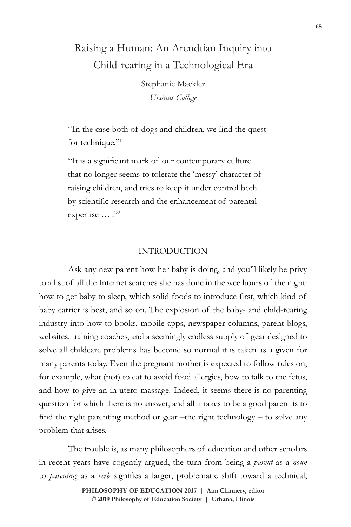# Raising a Human: An Arendtian Inquiry into Child-rearing in a Technological Era

Stephanie Mackler *Ursinus College*

"In the case both of dogs and children, we find the quest for technique."<sup>1</sup>

"It is a significant mark of our contemporary culture that no longer seems to tolerate the 'messy' character of raising children, and tries to keep it under control both by scientific research and the enhancement of parental expertise ... ."<sup>2</sup>

# INTRODUCTION

Ask any new parent how her baby is doing, and you'll likely be privy to a list of all the Internet searches she has done in the wee hours of the night: how to get baby to sleep, which solid foods to introduce first, which kind of baby carrier is best, and so on. The explosion of the baby- and child-rearing industry into how-to books, mobile apps, newspaper columns, parent blogs, websites, training coaches, and a seemingly endless supply of gear designed to solve all childcare problems has become so normal it is taken as a given for many parents today. Even the pregnant mother is expected to follow rules on, for example, what (not) to eat to avoid food allergies, how to talk to the fetus, and how to give an in utero massage. Indeed, it seems there is no parenting question for which there is no answer, and all it takes to be a good parent is to find the right parenting method or gear –the right technology – to solve any problem that arises.

The trouble is, as many philosophers of education and other scholars in recent years have cogently argued, the turn from being a *parent* as a *noun* to *parenting* as a *verb* signifies a larger, problematic shift toward a technical,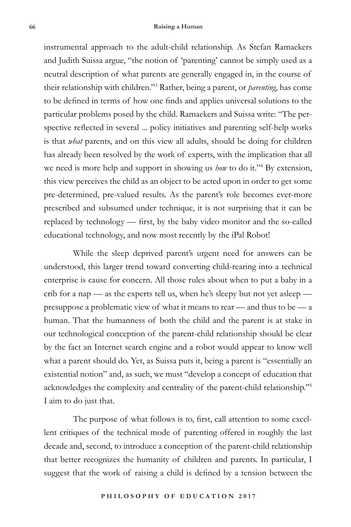instrumental approach to the adult-child relationship. As Stefan Ramaekers and Judith Suissa argue, "the notion of 'parenting' cannot be simply used as a neutral description of what parents are generally engaged in, in the course of their relationship with children."3 Rather, being a parent, or *parenting*, has come to be defined in terms of how one finds and applies universal solutions to the particular problems posed by the child. Ramaekers and Suissa write: "The perspective reflected in several ... policy initiatives and parenting self-help works is that *what* parents, and on this view all adults, should be doing for children has already been resolved by the work of experts, with the implication that all we need is more help and support in showing us *how* to do it."4 By extension, this view perceives the child as an object to be acted upon in order to get some pre-determined, pre-valued results. As the parent's role becomes ever-more prescribed and subsumed under technique, it is not surprising that it can be replaced by technology — first, by the baby video monitor and the so-called educational technology, and now most recently by the iPal Robot!

While the sleep deprived parent's urgent need for answers can be understood, this larger trend toward converting child-rearing into a technical enterprise is cause for concern. All those rules about when to put a baby in a crib for a nap — as the experts tell us, when he's sleepy but not yet asleep presuppose a problematic view of what it means to rear — and thus to be — a human. That the humanness of both the child and the parent is at stake in our technological conception of the parent-child relationship should be clear by the fact an Internet search engine and a robot would appear to know well what a parent should do. Yet, as Suissa puts it, being a parent is "essentially an existential notion" and, as such, we must "develop a concept of education that acknowledges the complexity and centrality of the parent-child relationship."5 I aim to do just that.

The purpose of what follows is to, first, call attention to some excellent critiques of the technical mode of parenting offered in roughly the last decade and, second, to introduce a conception of the parent-child relationship that better recognizes the humanity of children and parents. In particular, I suggest that the work of raising a child is defined by a tension between the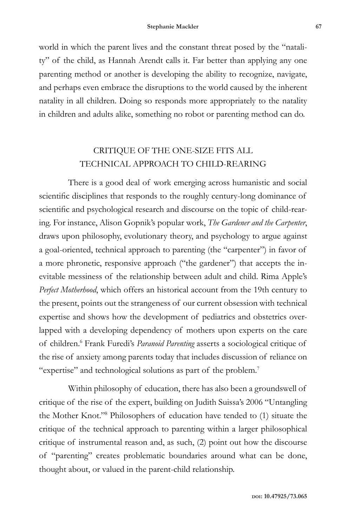world in which the parent lives and the constant threat posed by the "natality" of the child, as Hannah Arendt calls it. Far better than applying any one parenting method or another is developing the ability to recognize, navigate, and perhaps even embrace the disruptions to the world caused by the inherent natality in all children. Doing so responds more appropriately to the natality in children and adults alike, something no robot or parenting method can do.

# CRITIQUE OF THE ONE-SIZE FITS ALL TECHNICAL APPROACH TO CHILD-REARING

There is a good deal of work emerging across humanistic and social scientific disciplines that responds to the roughly century-long dominance of scientific and psychological research and discourse on the topic of child-rearing. For instance, Alison Gopnik's popular work, *The Gardener and the Carpenter*, draws upon philosophy, evolutionary theory, and psychology to argue against a goal-oriented, technical approach to parenting (the "carpenter") in favor of a more phronetic, responsive approach ("the gardener") that accepts the inevitable messiness of the relationship between adult and child. Rima Apple's *Perfect Motherhood*, which offers an historical account from the 19th century to the present, points out the strangeness of our current obsession with technical expertise and shows how the development of pediatrics and obstetrics overlapped with a developing dependency of mothers upon experts on the care of children.<sup>6</sup> Frank Furedi's *Paranoid Parenting* asserts a sociological critique of the rise of anxiety among parents today that includes discussion of reliance on "expertise" and technological solutions as part of the problem.7

Within philosophy of education, there has also been a groundswell of critique of the rise of the expert, building on Judith Suissa's 2006 "Untangling the Mother Knot."8 Philosophers of education have tended to (1) situate the critique of the technical approach to parenting within a larger philosophical critique of instrumental reason and, as such, (2) point out how the discourse of "parenting" creates problematic boundaries around what can be done, thought about, or valued in the parent-child relationship.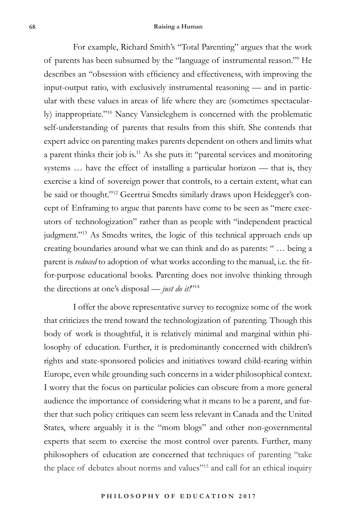For example, Richard Smith's "Total Parenting" argues that the work of parents has been subsumed by the "language of instrumental reason."9 He describes an "obsession with efficiency and effectiveness, with improving the input-output ratio, with exclusively instrumental reasoning — and in particular with these values in areas of life where they are (sometimes spectacularly) inappropriate."10 Nancy Vansieleghem is concerned with the problematic self-understanding of parents that results from this shift. She contends that expert advice on parenting makes parents dependent on others and limits what a parent thinks their job is.11 As she puts it: "parental services and monitoring systems … have the effect of installing a particular horizon — that is, they exercise a kind of sovereign power that controls, to a certain extent, what can be said or thought."12 Geertrui Smedts similarly draws upon Heidegger's concept of Enframing to argue that parents have come to be seen as "mere executors of technologization" rather than as people with "independent practical judgment."<sup>13</sup> As Smedts writes, the logic of this technical approach ends up creating boundaries around what we can think and do as parents: " … being a parent is *reduced* to adoption of what works according to the manual, i.e. the fitfor-purpose educational books. Parenting does not involve thinking through the directions at one's disposal — *just do it!*"14

I offer the above representative survey to recognize some of the work that criticizes the trend toward the technologization of parenting. Though this body of work is thoughtful, it is relatively minimal and marginal within philosophy of education. Further, it is predominantly concerned with children's rights and state-sponsored policies and initiatives toward child-rearing within Europe, even while grounding such concerns in a wider philosophical context. I worry that the focus on particular policies can obscure from a more general audience the importance of considering what it means to be a parent, and further that such policy critiques can seem less relevant in Canada and the United States, where arguably it is the "mom blogs" and other non-governmental experts that seem to exercise the most control over parents. Further, many philosophers of education are concerned that techniques of parenting "take the place of debates about norms and values"15 and call for an ethical inquiry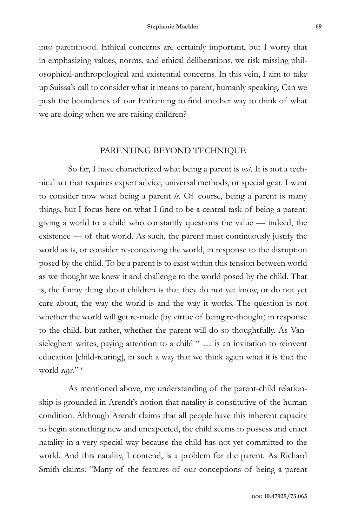into parenthood. Ethical concerns are certainly important, but I worry that in emphasizing values, norms, and ethical deliberations, we risk missing philosophical-anthropological and existential concerns. In this vein, I aim to take up Suissa's call to consider what it means to parent, humanly speaking. Can we push the boundaries of our Enframing to find another way to think of what we are doing when we are raising children?

### PARENTING BEYOND TECHNIQUE

So far, I have characterized what being a parent is *not*. It is not a technical act that requires expert advice, universal methods, or special gear. I want to consider now what being a parent *is*. Of course, being a parent is many things, but I focus here on what I find to be a central task of being a parent: giving a world to a child who constantly questions the value — indeed, the existence — of that world. As such, the parent must continuously justify the world as is, or consider re-conceiving the world, in response to the disruption posed by the child. To be a parent is to exist within this tension between world as we thought we knew it and challenge to the world posed by the child. That is, the funny thing about children is that they do not yet know, or do not yet care about, the way the world is and the way it works. The question is not whether the world will get re-made (by virtue of being re-thought) in response to the child, but rather, whether the parent will do so thoughtfully. As Vansieleghem writes, paying attention to a child " ... is an invitation to reinvent education [child-rearing], in such a way that we think again what it is that the world *says.*"16

As mentioned above, my understanding of the parent-child relationship is grounded in Arendt's notion that natality is constitutive of the human condition. Although Arendt claims that all people have this inherent capacity to begin something new and unexpected, the child seems to possess and enact natality in a very special way because the child has not yet committed to the world. And this natality, I contend, is a problem for the parent. As Richard Smith claims: "Many of the features of our conceptions of being a parent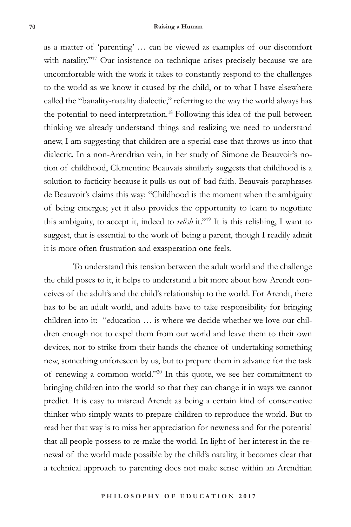as a matter of 'parenting' … can be viewed as examples of our discomfort with natality."<sup>17</sup> Our insistence on technique arises precisely because we are uncomfortable with the work it takes to constantly respond to the challenges to the world as we know it caused by the child, or to what I have elsewhere called the "banality-natality dialectic," referring to the way the world always has the potential to need interpretation.<sup>18</sup> Following this idea of the pull between thinking we already understand things and realizing we need to understand anew, I am suggesting that children are a special case that throws us into that dialectic. In a non-Arendtian vein, in her study of Simone de Beauvoir's notion of childhood, Clementine Beauvais similarly suggests that childhood is a solution to facticity because it pulls us out of bad faith. Beauvais paraphrases de Beauvoir's claims this way: "Childhood is the moment when the ambiguity of being emerges; yet it also provides the opportunity to learn to negotiate this ambiguity, to accept it, indeed to *relish* it."19 It is this relishing, I want to suggest, that is essential to the work of being a parent, though I readily admit it is more often frustration and exasperation one feels.

To understand this tension between the adult world and the challenge the child poses to it, it helps to understand a bit more about how Arendt conceives of the adult's and the child's relationship to the world. For Arendt, there has to be an adult world, and adults have to take responsibility for bringing children into it: "education … is where we decide whether we love our children enough not to expel them from our world and leave them to their own devices, nor to strike from their hands the chance of undertaking something new, something unforeseen by us, but to prepare them in advance for the task of renewing a common world."20 In this quote, we see her commitment to bringing children into the world so that they can change it in ways we cannot predict. It is easy to misread Arendt as being a certain kind of conservative thinker who simply wants to prepare children to reproduce the world. But to read her that way is to miss her appreciation for newness and for the potential that all people possess to re-make the world. In light of her interest in the renewal of the world made possible by the child's natality, it becomes clear that a technical approach to parenting does not make sense within an Arendtian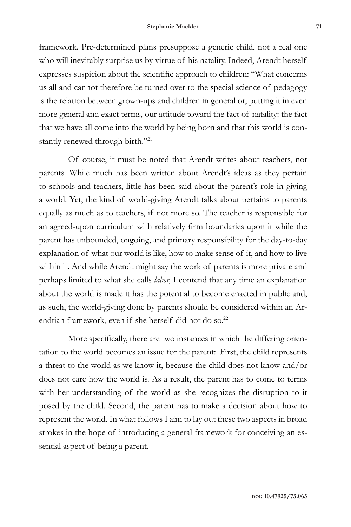framework. Pre-determined plans presuppose a generic child, not a real one who will inevitably surprise us by virtue of his natality. Indeed, Arendt herself expresses suspicion about the scientific approach to children: "What concerns us all and cannot therefore be turned over to the special science of pedagogy is the relation between grown-ups and children in general or, putting it in even more general and exact terms, our attitude toward the fact of natality: the fact that we have all come into the world by being born and that this world is constantly renewed through birth."<sup>21</sup>

Of course, it must be noted that Arendt writes about teachers, not parents. While much has been written about Arendt's ideas as they pertain to schools and teachers, little has been said about the parent's role in giving a world. Yet, the kind of world-giving Arendt talks about pertains to parents equally as much as to teachers, if not more so. The teacher is responsible for an agreed-upon curriculum with relatively firm boundaries upon it while the parent has unbounded, ongoing, and primary responsibility for the day-to-day explanation of what our world is like, how to make sense of it, and how to live within it. And while Arendt might say the work of parents is more private and perhaps limited to what she calls *labor,* I contend that any time an explanation about the world is made it has the potential to become enacted in public and, as such, the world-giving done by parents should be considered within an Arendtian framework, even if she herself did not do so.<sup>22</sup>

More specifically, there are two instances in which the differing orientation to the world becomes an issue for the parent: First, the child represents a threat to the world as we know it, because the child does not know and/or does not care how the world is. As a result, the parent has to come to terms with her understanding of the world as she recognizes the disruption to it posed by the child. Second, the parent has to make a decision about how to represent the world. In what follows I aim to lay out these two aspects in broad strokes in the hope of introducing a general framework for conceiving an essential aspect of being a parent.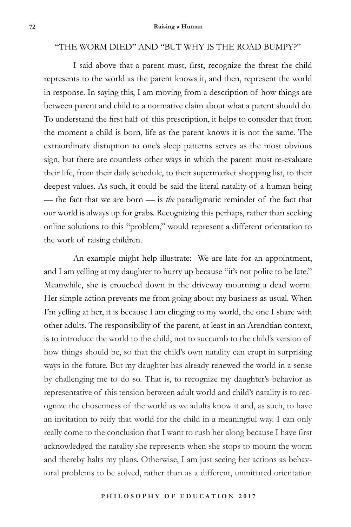## "THE WORM DIED" AND "BUT WHY IS THE ROAD BUMPY?"

I said above that a parent must, first, recognize the threat the child represents to the world as the parent knows it, and then, represent the world in response. In saying this, I am moving from a description of how things are between parent and child to a normative claim about what a parent should do. To understand the first half of this prescription, it helps to consider that from the moment a child is born, life as the parent knows it is not the same. The extraordinary disruption to one's sleep patterns serves as the most obvious sign, but there are countless other ways in which the parent must re-evaluate their life, from their daily schedule, to their supermarket shopping list, to their deepest values. As such, it could be said the literal natality of a human being — the fact that we are born — is *the* paradigmatic reminder of the fact that our world is always up for grabs. Recognizing this perhaps, rather than seeking online solutions to this "problem," would represent a different orientation to the work of raising children.

An example might help illustrate: We are late for an appointment, and I am yelling at my daughter to hurry up because "it's not polite to be late." Meanwhile, she is crouched down in the driveway mourning a dead worm. Her simple action prevents me from going about my business as usual. When I'm yelling at her, it is because I am clinging to my world, the one I share with other adults. The responsibility of the parent, at least in an Arendtian context, is to introduce the world to the child, not to succumb to the child's version of how things should be, so that the child's own natality can erupt in surprising ways in the future. But my daughter has already renewed the world in a sense by challenging me to do so. That is, to recognize my daughter's behavior as representative of this tension between adult world and child's natality is to recognize the chosenness of the world as we adults know it and, as such, to have an invitation to reify that world for the child in a meaningful way. I can only really come to the conclusion that I want to rush her along because I have first acknowledged the natality she represents when she stops to mourn the worm and thereby halts my plans. Otherwise, I am just seeing her actions as behavioral problems to be solved, rather than as a different, uninitiated orientation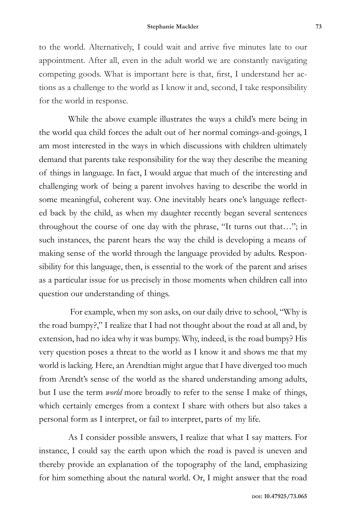to the world. Alternatively, I could wait and arrive five minutes late to our appointment. After all, even in the adult world we are constantly navigating competing goods. What is important here is that, first, I understand her actions as a challenge to the world as I know it and, second, I take responsibility for the world in response.

While the above example illustrates the ways a child's mere being in the world qua child forces the adult out of her normal comings-and-goings, I am most interested in the ways in which discussions with children ultimately demand that parents take responsibility for the way they describe the meaning of things in language. In fact, I would argue that much of the interesting and challenging work of being a parent involves having to describe the world in some meaningful, coherent way. One inevitably hears one's language reflected back by the child, as when my daughter recently began several sentences throughout the course of one day with the phrase, "It turns out that…"; in such instances, the parent hears the way the child is developing a means of making sense of the world through the language provided by adults. Responsibility for this language, then, is essential to the work of the parent and arises as a particular issue for us precisely in those moments when children call into question our understanding of things.

 For example, when my son asks, on our daily drive to school, "Why is the road bumpy?," I realize that I had not thought about the road at all and, by extension, had no idea why it was bumpy. Why, indeed, is the road bumpy? His very question poses a threat to the world as I know it and shows me that my world is lacking. Here, an Arendtian might argue that I have diverged too much from Arendt's sense of the world as the shared understanding among adults, but I use the term *world* more broadly to refer to the sense I make of things, which certainly emerges from a context I share with others but also takes a personal form as I interpret, or fail to interpret, parts of my life.

As I consider possible answers, I realize that what I say matters. For instance, I could say the earth upon which the road is paved is uneven and thereby provide an explanation of the topography of the land, emphasizing for him something about the natural world. Or, I might answer that the road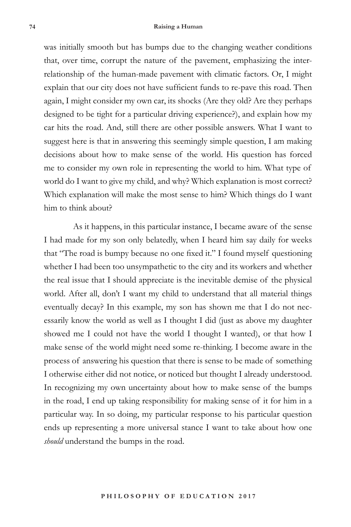was initially smooth but has bumps due to the changing weather conditions that, over time, corrupt the nature of the pavement, emphasizing the interrelationship of the human-made pavement with climatic factors. Or, I might explain that our city does not have sufficient funds to re-pave this road. Then again, I might consider my own car, its shocks (Are they old? Are they perhaps designed to be tight for a particular driving experience?), and explain how my car hits the road. And, still there are other possible answers. What I want to suggest here is that in answering this seemingly simple question, I am making decisions about how to make sense of the world. His question has forced me to consider my own role in representing the world to him. What type of world do I want to give my child, and why? Which explanation is most correct? Which explanation will make the most sense to him? Which things do I want him to think about?

As it happens, in this particular instance, I became aware of the sense I had made for my son only belatedly, when I heard him say daily for weeks that "The road is bumpy because no one fixed it." I found myself questioning whether I had been too unsympathetic to the city and its workers and whether the real issue that I should appreciate is the inevitable demise of the physical world. After all, don't I want my child to understand that all material things eventually decay? In this example, my son has shown me that I do not necessarily know the world as well as I thought I did (just as above my daughter showed me I could not have the world I thought I wanted), or that how I make sense of the world might need some re-thinking. I become aware in the process of answering his question that there is sense to be made of something I otherwise either did not notice, or noticed but thought I already understood. In recognizing my own uncertainty about how to make sense of the bumps in the road, I end up taking responsibility for making sense of it for him in a particular way. In so doing, my particular response to his particular question ends up representing a more universal stance I want to take about how one *should* understand the bumps in the road.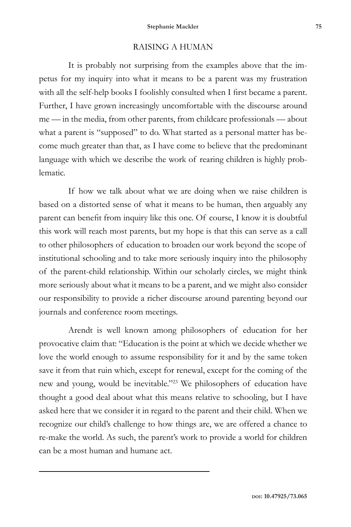# RAISING A HUMAN

It is probably not surprising from the examples above that the impetus for my inquiry into what it means to be a parent was my frustration with all the self-help books I foolishly consulted when I first became a parent. Further, I have grown increasingly uncomfortable with the discourse around me — in the media, from other parents, from childcare professionals — about what a parent is "supposed" to do. What started as a personal matter has become much greater than that, as I have come to believe that the predominant language with which we describe the work of rearing children is highly problematic.

If how we talk about what we are doing when we raise children is based on a distorted sense of what it means to be human, then arguably any parent can benefit from inquiry like this one. Of course, I know it is doubtful this work will reach most parents, but my hope is that this can serve as a call to other philosophers of education to broaden our work beyond the scope of institutional schooling and to take more seriously inquiry into the philosophy of the parent-child relationship. Within our scholarly circles, we might think more seriously about what it means to be a parent, and we might also consider our responsibility to provide a richer discourse around parenting beyond our journals and conference room meetings.

Arendt is well known among philosophers of education for her provocative claim that: "Education is the point at which we decide whether we love the world enough to assume responsibility for it and by the same token save it from that ruin which, except for renewal, except for the coming of the new and young, would be inevitable."23 We philosophers of education have thought a good deal about what this means relative to schooling, but I have asked here that we consider it in regard to the parent and their child. When we recognize our child's challenge to how things are, we are offered a chance to re-make the world. As such, the parent's work to provide a world for children can be a most human and humane act.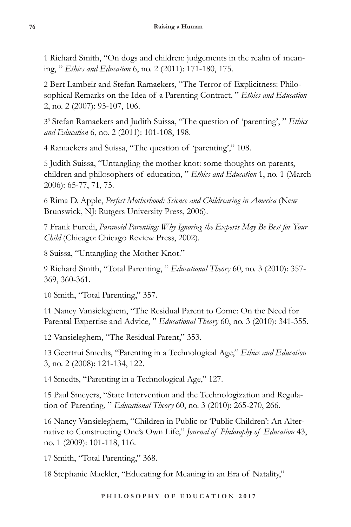1 Richard Smith, "On dogs and children: judgements in the realm of meaning, " *Ethics and Education* 6, no. 2 (2011): 171-180, 175.

2 Bert Lambeir and Stefan Ramaekers, "The Terror of Explicitness: Philosophical Remarks on the Idea of a Parenting Contract, " *Ethics and Education* 2, no. 2 (2007): 95-107, 106.

33 Stefan Ramaekers and Judith Suissa, "The question of 'parenting', " *Ethics and Education* 6, no. 2 (2011): 101-108, 198.

4 Ramaekers and Suissa, "The question of 'parenting'," 108.

5 Judith Suissa, "Untangling the mother knot: some thoughts on parents, children and philosophers of education, " *Ethics and Education* 1, no. 1 (March 2006): 65-77, 71, 75.

6 Rima D. Apple, *Perfect Motherhood: Science and Childrearing in America* (New Brunswick, NJ: Rutgers University Press, 2006).

7 Frank Furedi, *Paranoid Parenting: Why Ignoring the Experts May Be Best for Your Child* (Chicago: Chicago Review Press, 2002).

8 Suissa, "Untangling the Mother Knot."

9 Richard Smith, "Total Parenting, " *Educational Theory* 60, no. 3 (2010): 357- 369, 360-361.

10 Smith, "Total Parenting," 357.

11 Nancy Vansieleghem, "The Residual Parent to Come: On the Need for Parental Expertise and Advice, " *Educational Theory* 60, no. 3 (2010): 341-355.

12 Vansieleghem, "The Residual Parent," 353.

13 Geertrui Smedts, "Parenting in a Technological Age," *Ethics and Education* 3, no. 2 (2008): 121-134, 122.

14 Smedts, "Parenting in a Technological Age," 127.

15 Paul Smeyers, "State Intervention and the Technologization and Regulation of Parenting, " *Educational Theory* 60, no. 3 (2010): 265-270, 266.

16 Nancy Vansieleghem, "Children in Public or 'Public Children': An Alternative to Constructing One's Own Life," *Journal of Philosophy of Education* 43, no. 1 (2009): 101-118, 116.

17 Smith, "Total Parenting," 368.

18 Stephanie Mackler, "Educating for Meaning in an Era of Natality,"